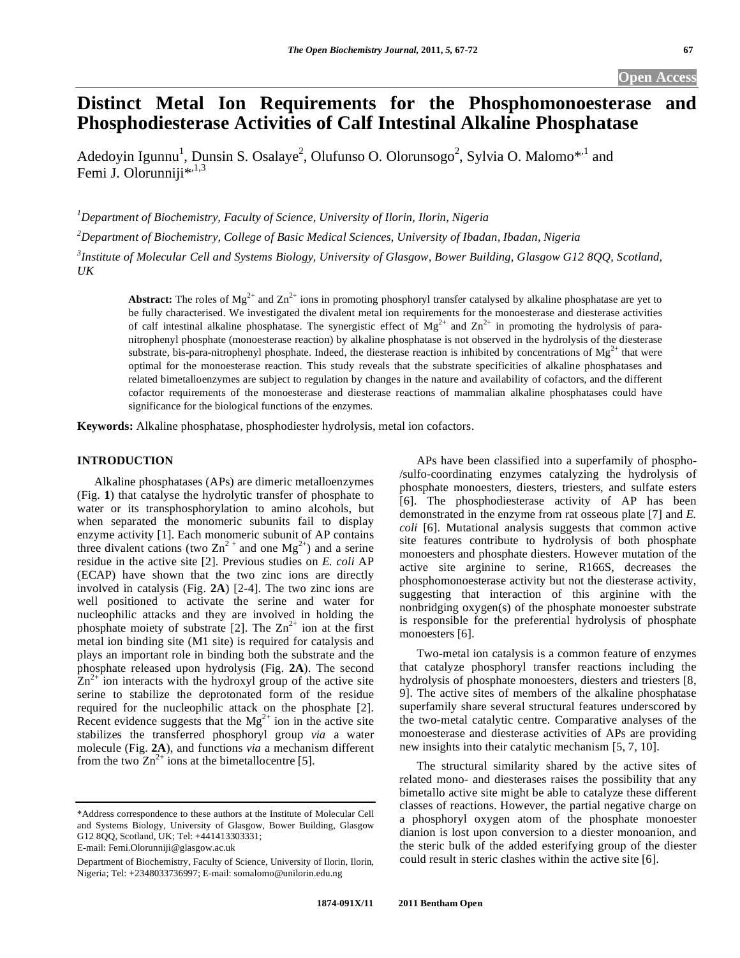# **Distinct Metal Ion Requirements for the Phosphomonoesterase and Phosphodiesterase Activities of Calf Intestinal Alkaline Phosphatase**

Adedoyin Igunnu<sup>1</sup>, Dunsin S. Osalaye<sup>2</sup>, Olufunso O. Olorunsogo<sup>2</sup>, Sylvia O. Malomo<sup>\*,1</sup> and Femi J. Olorunniji $^{*,1,3}$ 

*1 Department of Biochemistry, Faculty of Science, University of Ilorin, Ilorin, Nigeria* 

*2 Department of Biochemistry, College of Basic Medical Sciences, University of Ibadan, Ibadan, Nigeria* 

*3 Institute of Molecular Cell and Systems Biology, University of Glasgow, Bower Building, Glasgow G12 8QQ, Scotland, UK* 

**Abstract:** The roles of  $Mg^{2+}$  and  $Zn^{2+}$  ions in promoting phosphoryl transfer catalysed by alkaline phosphatase are yet to be fully characterised. We investigated the divalent metal ion requirements for the monoesterase and diesterase activities of calf intestinal alkaline phosphatase. The synergistic effect of  $Mg^{2+}$  and  $Zn^{2+}$  in promoting the hydrolysis of paranitrophenyl phosphate (monoesterase reaction) by alkaline phosphatase is not observed in the hydrolysis of the diesterase substrate, bis-para-nitrophenyl phosphate. Indeed, the diesterase reaction is inhibited by concentrations of  $Mg^{2+}$  that were optimal for the monoesterase reaction. This study reveals that the substrate specificities of alkaline phosphatases and related bimetalloenzymes are subject to regulation by changes in the nature and availability of cofactors, and the different cofactor requirements of the monoesterase and diesterase reactions of mammalian alkaline phosphatases could have significance for the biological functions of the enzymes.

**Keywords:** Alkaline phosphatase, phosphodiester hydrolysis, metal ion cofactors.

## **INTRODUCTION**

 Alkaline phosphatases (APs) are dimeric metalloenzymes (Fig. **1**) that catalyse the hydrolytic transfer of phosphate to water or its transphosphorylation to amino alcohols, but when separated the monomeric subunits fail to display enzyme activity [1]. Each monomeric subunit of AP contains three divalent cations (two  $\text{Zn}^2$ <sup>+</sup> and one Mg<sup>2+</sup>) and a serine residue in the active site [2]. Previous studies on *E. coli* AP (ECAP) have shown that the two zinc ions are directly involved in catalysis (Fig. **2A**) [2-4]. The two zinc ions are well positioned to activate the serine and water for nucleophilic attacks and they are involved in holding the phosphate moiety of substrate [2]. The  $Zn^{2+}$  ion at the first metal ion binding site (M1 site) is required for catalysis and plays an important role in binding both the substrate and the phosphate released upon hydrolysis (Fig. **2A**). The second  $\text{Zn}^{2+}$  ion interacts with the hydroxyl group of the active site serine to stabilize the deprotonated form of the residue required for the nucleophilic attack on the phosphate [2]. Recent evidence suggests that the  $Mg^{2+}$  ion in the active site stabilizes the transferred phosphoryl group *via* a water molecule (Fig. **2A**), and functions *via* a mechanism different from the two  $\overline{Zn}^{2+}$  ions at the bimetallocentre [5].

 APs have been classified into a superfamily of phospho- /sulfo-coordinating enzymes catalyzing the hydrolysis of phosphate monoesters, diesters, triesters, and sulfate esters [6]. The phosphodiesterase activity of AP has been demonstrated in the enzyme from rat osseous plate [7] and *E. coli* [6]. Mutational analysis suggests that common active site features contribute to hydrolysis of both phosphate monoesters and phosphate diesters. However mutation of the active site arginine to serine, R166S, decreases the phosphomonoesterase activity but not the diesterase activity, suggesting that interaction of this arginine with the nonbridging oxygen(s) of the phosphate monoester substrate is responsible for the preferential hydrolysis of phosphate monoesters [6].

 Two-metal ion catalysis is a common feature of enzymes that catalyze phosphoryl transfer reactions including the hydrolysis of phosphate monoesters, diesters and triesters [8, 9]. The active sites of members of the alkaline phosphatase superfamily share several structural features underscored by the two-metal catalytic centre. Comparative analyses of the monoesterase and diesterase activities of APs are providing new insights into their catalytic mechanism [5, 7, 10].

 The structural similarity shared by the active sites of related mono- and diesterases raises the possibility that any bimetallo active site might be able to catalyze these different classes of reactions. However, the partial negative charge on a phosphoryl oxygen atom of the phosphate monoester dianion is lost upon conversion to a diester monoanion, and the steric bulk of the added esterifying group of the diester could result in steric clashes within the active site [6].

<sup>\*</sup>Address correspondence to these authors at the Institute of Molecular Cell and Systems Biology, University of Glasgow, Bower Building, Glasgow G12 8QQ, Scotland, UK; Tel: +441413303331; E-mail: Femi.Olorunniji@glasgow.ac.uk

Department of Biochemistry, Faculty of Science, University of Ilorin, Ilorin, Nigeria; Tel: +2348033736997; E-mail: somalomo@unilorin.edu.ng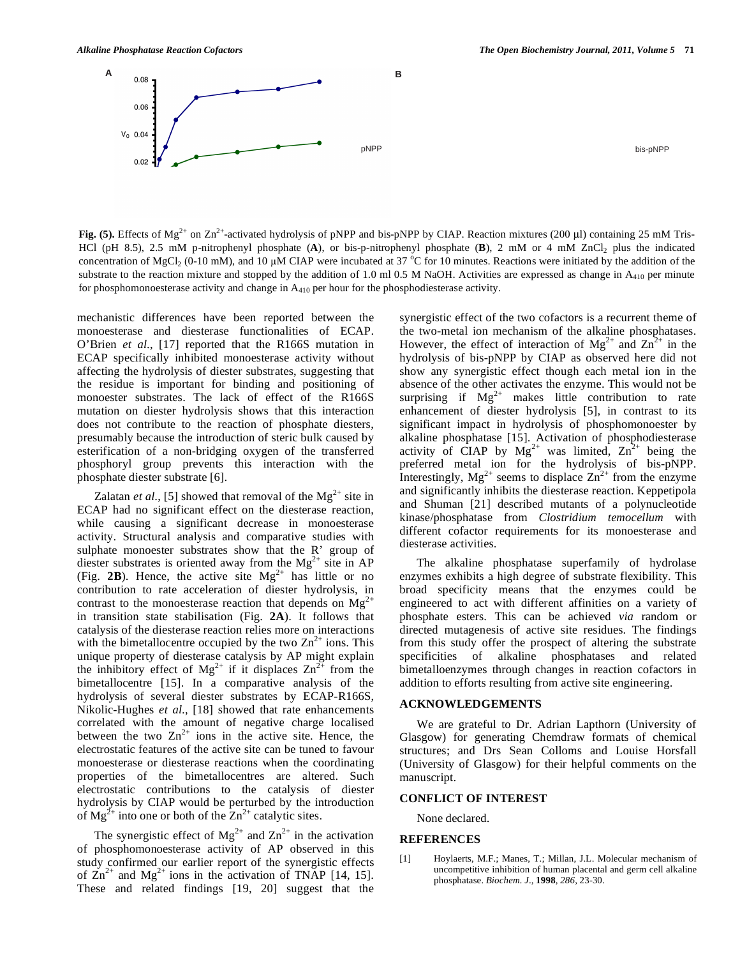**A B**

pNPP bis-pNPP

**Fig. (5).** Effects of Mg<sup>2+</sup> on Zn<sup>2+</sup>-activated hydrolysis of pNPP and bis-pNPP by CIAP. Reaction mixtures (200 μl) containing 25 mM Tris-HCl (pH 8.5), 2.5 mM p-nitrophenyl phosphate (A), or bis-p-nitrophenyl phosphate (B), 2 mM or 4 mM ZnCl<sub>2</sub> plus the indicated concentration of MgCl<sub>2</sub> (0-10 mM), and 10  $\mu$ M CIAP were incubated at 37 °C for 10 minutes. Reactions were initiated by the addition of the substrate to the reaction mixture and stopped by the addition of 1.0 ml 0.5 M NaOH. Activities are expressed as change in  $A_{410}$  per minute for phosphomonoesterase activity and change in  $A_{410}$  per hour for the phosphodiesterase activity.

mechanistic differences have been reported between the monoesterase and diesterase functionalities of ECAP. O'Brien *et al*., [17] reported that the R166S mutation in ECAP specifically inhibited monoesterase activity without affecting the hydrolysis of diester substrates, suggesting that the residue is important for binding and positioning of monoester substrates. The lack of effect of the R166S mutation on diester hydrolysis shows that this interaction does not contribute to the reaction of phosphate diesters, presumably because the introduction of steric bulk caused by esterification of a non-bridging oxygen of the transferred phosphoryl group prevents this interaction with the phosphate diester substrate [6].

Zalatan *et al.*, [5] showed that removal of the  $Mg^{2+}$  site in ECAP had no significant effect on the diesterase reaction, while causing a significant decrease in monoesterase activity. Structural analysis and comparative studies with sulphate monoester substrates show that the R' group of diester substrates is oriented away from the  $Mg^{2+}$  site in AP (Fig. 2B). Hence, the active site  $Mg^{2+}$  has little or no contribution to rate acceleration of diester hydrolysis, in contrast to the monoesterase reaction that depends on  $Mg^{2+}$ in transition state stabilisation (Fig. **2A**). It follows that catalysis of the diesterase reaction relies more on interactions with the bimetallocentre occupied by the two  $\text{Zn}^{2+}$  ions. This unique property of diesterase catalysis by AP might explain the inhibitory effect of  $Mg^{2+}$  if it displaces  $Zn^{2+}$  from the bimetallocentre [15]. In a comparative analysis of the hydrolysis of several diester substrates by ECAP-R166S, Nikolic-Hughes *et al*., [18] showed that rate enhancements correlated with the amount of negative charge localised between the two  $\text{Zn}^{2+}$  ions in the active site. Hence, the electrostatic features of the active site can be tuned to favour monoesterase or diesterase reactions when the coordinating properties of the bimetallocentres are altered. Such electrostatic contributions to the catalysis of diester hydrolysis by CIAP would be perturbed by the introduction of  $Mg^{2+}$  into one or both of the  $Zn^{2+}$  catalytic sites.

The synergistic effect of  $Mg^{2+}$  and  $Zn^{2+}$  in the activation of phosphomonoesterase activity of AP observed in this study confirmed our earlier report of the synergistic effects of  $\text{Zn}^{2+}$  and Mg<sup>2+</sup> ions in the activation of TNAP [14, 15]. These and related findings [19, 20] suggest that the synergistic effect of the two cofactors is a recurrent theme of the two-metal ion mechanism of the alkaline phosphatases. However, the effect of interaction of  $Mg^{2+}$  and  $Zn^{2+}$  in the hydrolysis of bis-pNPP by CIAP as observed here did not show any synergistic effect though each metal ion in the absence of the other activates the enzyme. This would not be surprising if  $Mg^{2+}$  makes little contribution to rate enhancement of diester hydrolysis [5], in contrast to its significant impact in hydrolysis of phosphomonoester by alkaline phosphatase [15]. Activation of phosphodiesterase activity of CIAP by  $Mg^{2+}$  was limited,  $Zn^{2+}$  being the preferred metal ion for the hydrolysis of bis-pNPP. Interestingly,  $Mg^{2+}$  seems to displace  $Zn^{2+}$  from the enzyme and significantly inhibits the diesterase reaction. Keppetipola and Shuman [21] described mutants of a polynucleotide kinase/phosphatase from *Clostridium temocellum* with different cofactor requirements for its monoesterase and diesterase activities.

 The alkaline phosphatase superfamily of hydrolase enzymes exhibits a high degree of substrate flexibility. This broad specificity means that the enzymes could be engineered to act with different affinities on a variety of phosphate esters. This can be achieved *via* random or directed mutagenesis of active site residues. The findings from this study offer the prospect of altering the substrate specificities of alkaline phosphatases and related bimetalloenzymes through changes in reaction cofactors in addition to efforts resulting from active site engineering.

## **ACKNOWLEDGEMENTS**

 We are grateful to Dr. Adrian Lapthorn (University of Glasgow) for generating Chemdraw formats of chemical structures; and Drs Sean Colloms and Louise Horsfall (University of Glasgow) for their helpful comments on the manuscript.

#### **CONFLICT OF INTEREST**

None declared.

#### **REFERENCES**

[1] Hoylaerts, M.F.; Manes, T.; Millan, J.L. Molecular mechanism of uncompetitive inhibition of human placental and germ cell alkaline phosphatase. *Biochem. J*., **1998**, *286*, 23-30.